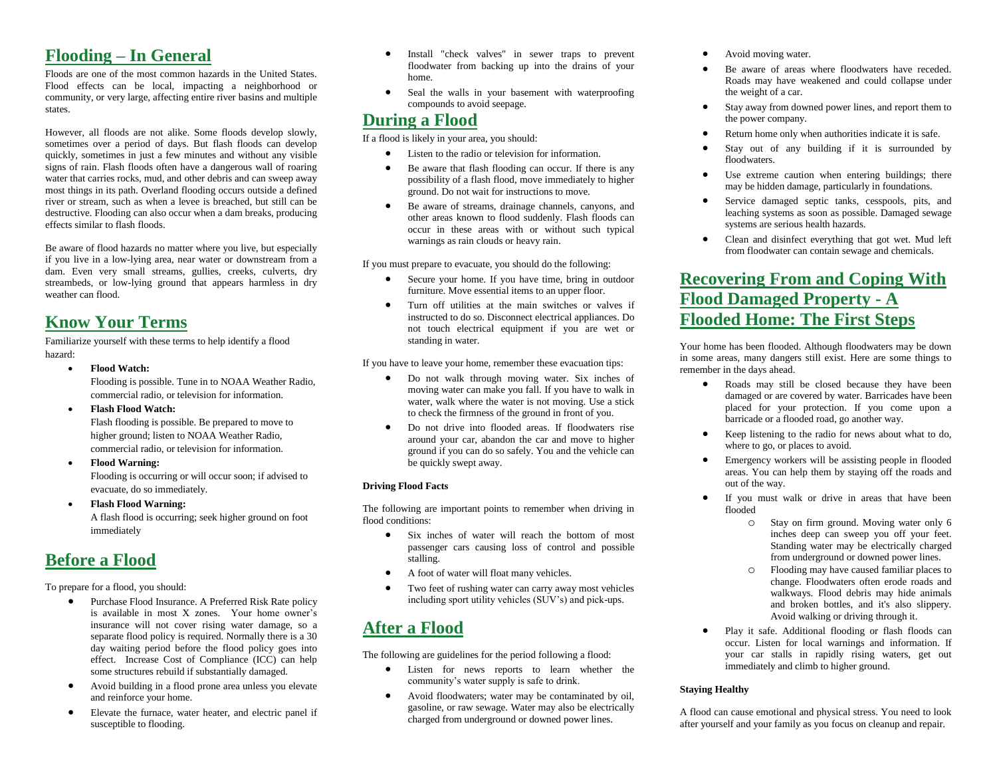### **Flooding – In General**

Floods are one of the most common hazards in the United States. Flood effects can be local, impacting a neighborhood or community, or very large, affecting entire river basins and multiple states.

However, all floods are not alike. Some floods develop slowly, sometimes over a period of days. But flash floods can develop quickly, sometimes in just a few minutes and without any visible signs of rain. Flash floods often have a dangerous wall of roaring water that carries rocks, mud, and other debris and can sweep away most things in its path. Overland flooding occurs outside a defined river or stream, such as when a levee is breached, but still can be destructive. Flooding can also occur when a dam breaks, producing effects similar to flash floods.

Be aware of flood hazards no matter where you live, but especially if you live in a low-lying area, near water or downstream from a dam. Even very small streams, gullies, creeks, culverts, dry streambeds, or low-lying ground that appears harmless in dry weather can flood.

# **Know Your Terms**

Familiarize yourself with these terms to help identify a flood hazard:

**Flood Watch:**

Flooding is possible. Tune in to NOAA Weather Radio, commercial radio, or television for information.

**Flash Flood Watch:**

Flash flooding is possible. Be prepared to move to higher ground; listen to NOAA Weather Radio, commercial radio, or television for information.

**Flood Warning:**

Flooding is occurring or will occur soon; if advised to evacuate, do so immediately.

 **Flash Flood Warning:** A flash flood is occurring; seek higher ground on foot immediately

# **Before a Flood**

To prepare for a flood, you should:

- Purchase Flood Insurance. A Preferred Risk Rate policy is available in most X zones. Your home owner's insurance will not cover rising water damage, so a separate flood policy is required. Normally there is a 30 day waiting period before the flood policy goes into effect. Increase Cost of Compliance (ICC) can help some structures rebuild if substantially damaged.
- Avoid building in a flood prone area unless you elevate and reinforce your home.
- Elevate the furnace, water heater, and electric panel if susceptible to flooding.
- Install "check valves" in sewer traps to prevent floodwater from backing up into the drains of your home.
- Seal the walls in your basement with waterproofing compounds to avoid seepage.

## **During a Flood**

If a flood is likely in your area, you should:

- Listen to the radio or television for information.
- Be aware that flash flooding can occur. If there is any possibility of a flash flood, move immediately to higher ground. Do not wait for instructions to move.
- Be aware of streams, drainage channels, canyons, and other areas known to flood suddenly. Flash floods can occur in these areas with or without such typical warnings as rain clouds or heavy rain.

If you must prepare to evacuate, you should do the following:

- Secure your home. If you have time, bring in outdoor furniture. Move essential items to an upper floor.
- Turn off utilities at the main switches or valves if instructed to do so. Disconnect electrical appliances. Do not touch electrical equipment if you are wet or standing in water.

If you have to leave your home, remember these evacuation tips:

- Do not walk through moving water. Six inches of moving water can make you fall. If you have to walk in water, walk where the water is not moving. Use a stick to check the firmness of the ground in front of you.
- Do not drive into flooded areas. If floodwaters rise around your car, abandon the car and move to higher ground if you can do so safely. You and the vehicle can be quickly swept away.

### **Driving Flood Facts**

The following are important points to remember when driving in flood conditions:

- Six inches of water will reach the bottom of most passenger cars causing loss of control and possible stalling.
- A foot of water will float many vehicles.
- Two feet of rushing water can carry away most vehicles including sport utility vehicles (SUV's) and pick-ups.

# **After a Flood**

The following are guidelines for the period following a flood:

- Listen for news reports to learn whether the community's water supply is safe to drink.
- Avoid floodwaters; water may be contaminated by oil, gasoline, or raw sewage. Water may also be electrically charged from underground or downed power lines.
- Avoid moving water.
- Be aware of areas where floodwaters have receded. Roads may have weakened and could collapse under the weight of a car.
- Stay away from downed power lines, and report them to the power company.
- Return home only when authorities indicate it is safe.
- Stay out of any building if it is surrounded by floodwaters.
- Use extreme caution when entering buildings; there may be hidden damage, particularly in foundations.
- Service damaged septic tanks, cesspools, pits, and leaching systems as soon as possible. Damaged sewage systems are serious health hazards.
- Clean and disinfect everything that got wet. Mud left from floodwater can contain sewage and chemicals.

# **Recovering From and Coping With Flood Damaged Property - A Flooded Home: The First Steps**

Your home has been flooded. Although floodwaters may be down in some areas, many dangers still exist. Here are some things to remember in the days ahead.

- Roads may still be closed because they have been damaged or are covered by water. Barricades have been placed for your protection. If you come upon a barricade or a flooded road, go another way.
- Keep listening to the radio for news about what to do, where to go, or places to avoid.
- Emergency workers will be assisting people in flooded areas. You can help them by staying off the roads and out of the way.
- If you must walk or drive in areas that have been flooded
	- o Stay on firm ground. Moving water only 6 inches deep can sweep you off your feet. Standing water may be electrically charged from underground or downed power lines.
	- o Flooding may have caused familiar places to change. Floodwaters often erode roads and walkways. Flood debris may hide animals and broken bottles, and it's also slippery. Avoid walking or driving through it.
- Play it safe. Additional flooding or flash floods can occur. Listen for local warnings and information. If your car stalls in rapidly rising waters, get out immediately and climb to higher ground.

### **Staying Healthy**

A flood can cause emotional and physical stress. You need to look after yourself and your family as you focus on cleanup and repair.